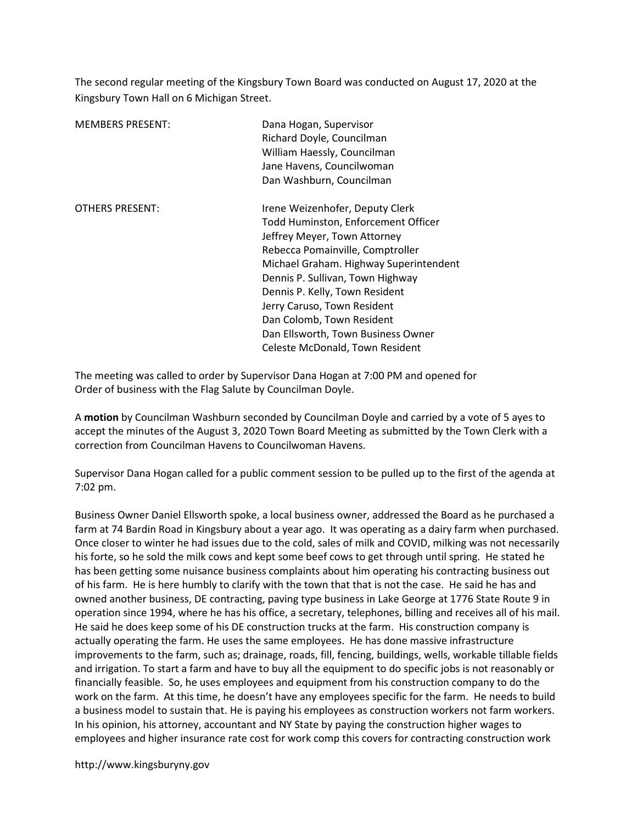The second regular meeting of the Kingsbury Town Board was conducted on August 17, 2020 at the Kingsbury Town Hall on 6 Michigan Street.

| <b>MEMBERS PRESENT:</b> | Dana Hogan, Supervisor<br>Richard Doyle, Councilman<br>William Haessly, Councilman<br>Jane Havens, Councilwoman<br>Dan Washburn, Councilman                                                                                                                                                                                                                                                     |
|-------------------------|-------------------------------------------------------------------------------------------------------------------------------------------------------------------------------------------------------------------------------------------------------------------------------------------------------------------------------------------------------------------------------------------------|
| <b>OTHERS PRESENT:</b>  | Irene Weizenhofer, Deputy Clerk<br>Todd Huminston, Enforcement Officer<br>Jeffrey Meyer, Town Attorney<br>Rebecca Pomainville, Comptroller<br>Michael Graham. Highway Superintendent<br>Dennis P. Sullivan, Town Highway<br>Dennis P. Kelly, Town Resident<br>Jerry Caruso, Town Resident<br>Dan Colomb, Town Resident<br>Dan Ellsworth, Town Business Owner<br>Celeste McDonald, Town Resident |

The meeting was called to order by Supervisor Dana Hogan at 7:00 PM and opened for Order of business with the Flag Salute by Councilman Doyle.

A motion by Councilman Washburn seconded by Councilman Doyle and carried by a vote of 5 ayes to accept the minutes of the August 3, 2020 Town Board Meeting as submitted by the Town Clerk with a correction from Councilman Havens to Councilwoman Havens.

Supervisor Dana Hogan called for a public comment session to be pulled up to the first of the agenda at 7:02 pm.

Business Owner Daniel Ellsworth spoke, a local business owner, addressed the Board as he purchased a farm at 74 Bardin Road in Kingsbury about a year ago. It was operating as a dairy farm when purchased. Once closer to winter he had issues due to the cold, sales of milk and COVID, milking was not necessarily his forte, so he sold the milk cows and kept some beef cows to get through until spring. He stated he has been getting some nuisance business complaints about him operating his contracting business out of his farm. He is here humbly to clarify with the town that that is not the case. He said he has and owned another business, DE contracting, paving type business in Lake George at 1776 State Route 9 in operation since 1994, where he has his office, a secretary, telephones, billing and receives all of his mail. He said he does keep some of his DE construction trucks at the farm. His construction company is actually operating the farm. He uses the same employees. He has done massive infrastructure improvements to the farm, such as; drainage, roads, fill, fencing, buildings, wells, workable tillable fields and irrigation. To start a farm and have to buy all the equipment to do specific jobs is not reasonably or financially feasible. So, he uses employees and equipment from his construction company to do the work on the farm. At this time, he doesn't have any employees specific for the farm. He needs to build a business model to sustain that. He is paying his employees as construction workers not farm workers. In his opinion, his attorney, accountant and NY State by paying the construction higher wages to employees and higher insurance rate cost for work comp this covers for contracting construction work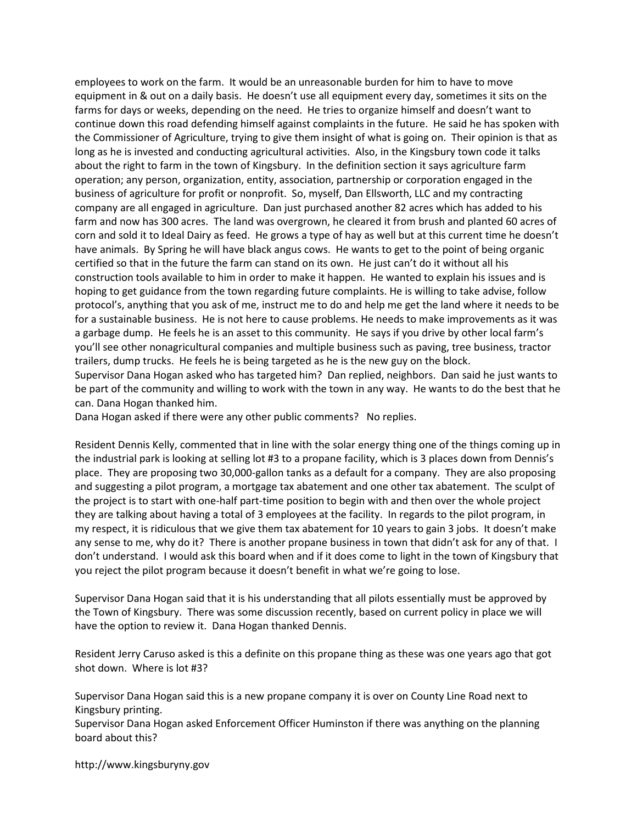employees to work on the farm. It would be an unreasonable burden for him to have to move equipment in & out on a daily basis. He doesn't use all equipment every day, sometimes it sits on the farms for days or weeks, depending on the need. He tries to organize himself and doesn't want to continue down this road defending himself against complaints in the future. He said he has spoken with the Commissioner of Agriculture, trying to give them insight of what is going on. Their opinion is that as long as he is invested and conducting agricultural activities. Also, in the Kingsbury town code it talks about the right to farm in the town of Kingsbury. In the definition section it says agriculture farm operation; any person, organization, entity, association, partnership or corporation engaged in the business of agriculture for profit or nonprofit. So, myself, Dan Ellsworth, LLC and my contracting company are all engaged in agriculture. Dan just purchased another 82 acres which has added to his farm and now has 300 acres. The land was overgrown, he cleared it from brush and planted 60 acres of corn and sold it to Ideal Dairy as feed. He grows a type of hay as well but at this current time he doesn't have animals. By Spring he will have black angus cows. He wants to get to the point of being organic certified so that in the future the farm can stand on its own. He just can't do it without all his construction tools available to him in order to make it happen. He wanted to explain his issues and is hoping to get guidance from the town regarding future complaints. He is willing to take advise, follow protocol's, anything that you ask of me, instruct me to do and help me get the land where it needs to be for a sustainable business. He is not here to cause problems. He needs to make improvements as it was a garbage dump. He feels he is an asset to this community. He says if you drive by other local farm's you'll see other nonagricultural companies and multiple business such as paving, tree business, tractor trailers, dump trucks. He feels he is being targeted as he is the new guy on the block. Supervisor Dana Hogan asked who has targeted him? Dan replied, neighbors. Dan said he just wants to

be part of the community and willing to work with the town in any way. He wants to do the best that he can. Dana Hogan thanked him.

Dana Hogan asked if there were any other public comments? No replies.

Resident Dennis Kelly, commented that in line with the solar energy thing one of the things coming up in the industrial park is looking at selling lot #3 to a propane facility, which is 3 places down from Dennis's place. They are proposing two 30,000-gallon tanks as a default for a company. They are also proposing and suggesting a pilot program, a mortgage tax abatement and one other tax abatement. The sculpt of the project is to start with one-half part-time position to begin with and then over the whole project they are talking about having a total of 3 employees at the facility. In regards to the pilot program, in my respect, it is ridiculous that we give them tax abatement for 10 years to gain 3 jobs. It doesn't make any sense to me, why do it? There is another propane business in town that didn't ask for any of that. I don't understand. I would ask this board when and if it does come to light in the town of Kingsbury that you reject the pilot program because it doesn't benefit in what we're going to lose.

Supervisor Dana Hogan said that it is his understanding that all pilots essentially must be approved by the Town of Kingsbury. There was some discussion recently, based on current policy in place we will have the option to review it. Dana Hogan thanked Dennis.

Resident Jerry Caruso asked is this a definite on this propane thing as these was one years ago that got shot down. Where is lot #3?

Supervisor Dana Hogan said this is a new propane company it is over on County Line Road next to Kingsbury printing.

Supervisor Dana Hogan asked Enforcement Officer Huminston if there was anything on the planning board about this?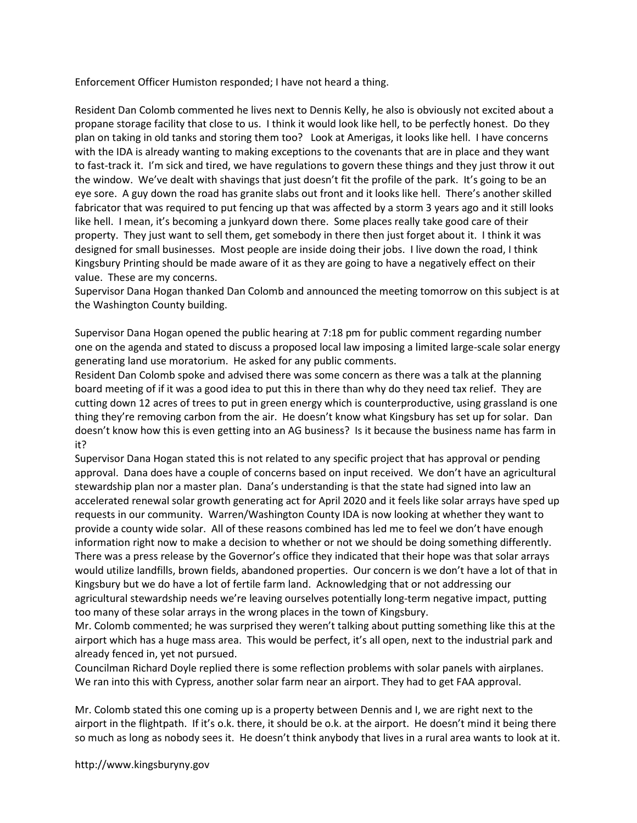Enforcement Officer Humiston responded; I have not heard a thing.

Resident Dan Colomb commented he lives next to Dennis Kelly, he also is obviously not excited about a propane storage facility that close to us. I think it would look like hell, to be perfectly honest. Do they plan on taking in old tanks and storing them too? Look at Amerigas, it looks like hell. I have concerns with the IDA is already wanting to making exceptions to the covenants that are in place and they want to fast-track it. I'm sick and tired, we have regulations to govern these things and they just throw it out the window. We've dealt with shavings that just doesn't fit the profile of the park. It's going to be an eye sore. A guy down the road has granite slabs out front and it looks like hell. There's another skilled fabricator that was required to put fencing up that was affected by a storm 3 years ago and it still looks like hell. I mean, it's becoming a junkyard down there. Some places really take good care of their property. They just want to sell them, get somebody in there then just forget about it. I think it was designed for small businesses. Most people are inside doing their jobs. I live down the road, I think Kingsbury Printing should be made aware of it as they are going to have a negatively effect on their value. These are my concerns.

Supervisor Dana Hogan thanked Dan Colomb and announced the meeting tomorrow on this subject is at the Washington County building.

Supervisor Dana Hogan opened the public hearing at 7:18 pm for public comment regarding number one on the agenda and stated to discuss a proposed local law imposing a limited large-scale solar energy generating land use moratorium. He asked for any public comments.

Resident Dan Colomb spoke and advised there was some concern as there was a talk at the planning board meeting of if it was a good idea to put this in there than why do they need tax relief. They are cutting down 12 acres of trees to put in green energy which is counterproductive, using grassland is one thing they're removing carbon from the air. He doesn't know what Kingsbury has set up for solar. Dan doesn't know how this is even getting into an AG business? Is it because the business name has farm in it?

Supervisor Dana Hogan stated this is not related to any specific project that has approval or pending approval. Dana does have a couple of concerns based on input received. We don't have an agricultural stewardship plan nor a master plan. Dana's understanding is that the state had signed into law an accelerated renewal solar growth generating act for April 2020 and it feels like solar arrays have sped up requests in our community. Warren/Washington County IDA is now looking at whether they want to provide a county wide solar. All of these reasons combined has led me to feel we don't have enough information right now to make a decision to whether or not we should be doing something differently. There was a press release by the Governor's office they indicated that their hope was that solar arrays would utilize landfills, brown fields, abandoned properties. Our concern is we don't have a lot of that in Kingsbury but we do have a lot of fertile farm land. Acknowledging that or not addressing our agricultural stewardship needs we're leaving ourselves potentially long-term negative impact, putting too many of these solar arrays in the wrong places in the town of Kingsbury.

Mr. Colomb commented; he was surprised they weren't talking about putting something like this at the airport which has a huge mass area. This would be perfect, it's all open, next to the industrial park and already fenced in, yet not pursued.

Councilman Richard Doyle replied there is some reflection problems with solar panels with airplanes. We ran into this with Cypress, another solar farm near an airport. They had to get FAA approval.

Mr. Colomb stated this one coming up is a property between Dennis and I, we are right next to the airport in the flightpath. If it's o.k. there, it should be o.k. at the airport. He doesn't mind it being there so much as long as nobody sees it. He doesn't think anybody that lives in a rural area wants to look at it.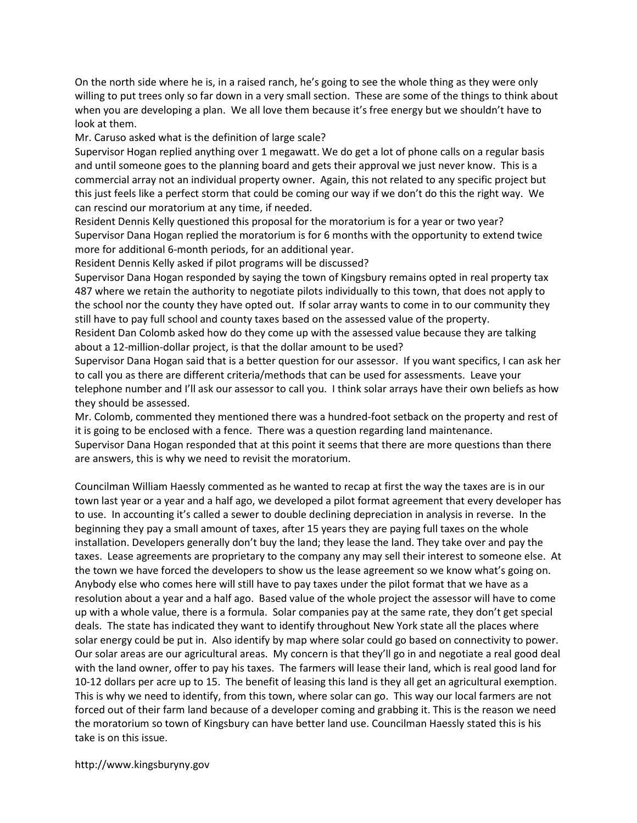On the north side where he is, in a raised ranch, he's going to see the whole thing as they were only willing to put trees only so far down in a very small section. These are some of the things to think about when you are developing a plan. We all love them because it's free energy but we shouldn't have to look at them.

Mr. Caruso asked what is the definition of large scale?

Supervisor Hogan replied anything over 1 megawatt. We do get a lot of phone calls on a regular basis and until someone goes to the planning board and gets their approval we just never know. This is a commercial array not an individual property owner. Again, this not related to any specific project but this just feels like a perfect storm that could be coming our way if we don't do this the right way. We can rescind our moratorium at any time, if needed.

Resident Dennis Kelly questioned this proposal for the moratorium is for a year or two year? Supervisor Dana Hogan replied the moratorium is for 6 months with the opportunity to extend twice more for additional 6-month periods, for an additional year.

Resident Dennis Kelly asked if pilot programs will be discussed?

Supervisor Dana Hogan responded by saying the town of Kingsbury remains opted in real property tax 487 where we retain the authority to negotiate pilots individually to this town, that does not apply to the school nor the county they have opted out. If solar array wants to come in to our community they still have to pay full school and county taxes based on the assessed value of the property.

Resident Dan Colomb asked how do they come up with the assessed value because they are talking about a 12-million-dollar project, is that the dollar amount to be used?

Supervisor Dana Hogan said that is a better question for our assessor. If you want specifics, I can ask her to call you as there are different criteria/methods that can be used for assessments. Leave your telephone number and I'll ask our assessor to call you. I think solar arrays have their own beliefs as how they should be assessed.

Mr. Colomb, commented they mentioned there was a hundred-foot setback on the property and rest of it is going to be enclosed with a fence. There was a question regarding land maintenance. Supervisor Dana Hogan responded that at this point it seems that there are more questions than there

are answers, this is why we need to revisit the moratorium.

Councilman William Haessly commented as he wanted to recap at first the way the taxes are is in our town last year or a year and a half ago, we developed a pilot format agreement that every developer has to use. In accounting it's called a sewer to double declining depreciation in analysis in reverse. In the beginning they pay a small amount of taxes, after 15 years they are paying full taxes on the whole installation. Developers generally don't buy the land; they lease the land. They take over and pay the taxes. Lease agreements are proprietary to the company any may sell their interest to someone else. At the town we have forced the developers to show us the lease agreement so we know what's going on. Anybody else who comes here will still have to pay taxes under the pilot format that we have as a resolution about a year and a half ago. Based value of the whole project the assessor will have to come up with a whole value, there is a formula. Solar companies pay at the same rate, they don't get special deals. The state has indicated they want to identify throughout New York state all the places where solar energy could be put in. Also identify by map where solar could go based on connectivity to power. Our solar areas are our agricultural areas. My concern is that they'll go in and negotiate a real good deal with the land owner, offer to pay his taxes. The farmers will lease their land, which is real good land for 10-12 dollars per acre up to 15. The benefit of leasing this land is they all get an agricultural exemption. This is why we need to identify, from this town, where solar can go. This way our local farmers are not forced out of their farm land because of a developer coming and grabbing it. This is the reason we need the moratorium so town of Kingsbury can have better land use. Councilman Haessly stated this is his take is on this issue.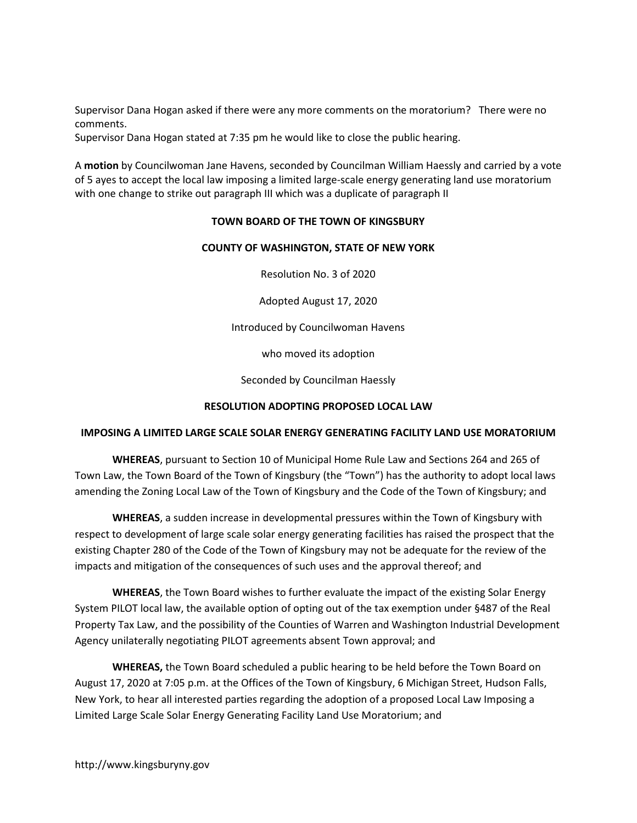Supervisor Dana Hogan asked if there were any more comments on the moratorium? There were no comments.

Supervisor Dana Hogan stated at 7:35 pm he would like to close the public hearing.

A motion by Councilwoman Jane Havens, seconded by Councilman William Haessly and carried by a vote of 5 ayes to accept the local law imposing a limited large-scale energy generating land use moratorium with one change to strike out paragraph III which was a duplicate of paragraph II

### TOWN BOARD OF THE TOWN OF KINGSBURY

### COUNTY OF WASHINGTON, STATE OF NEW YORK

Resolution No. 3 of 2020

Adopted August 17, 2020

Introduced by Councilwoman Havens

who moved its adoption

Seconded by Councilman Haessly

#### RESOLUTION ADOPTING PROPOSED LOCAL LAW

#### IMPOSING A LIMITED LARGE SCALE SOLAR ENERGY GENERATING FACILITY LAND USE MORATORIUM

WHEREAS, pursuant to Section 10 of Municipal Home Rule Law and Sections 264 and 265 of Town Law, the Town Board of the Town of Kingsbury (the "Town") has the authority to adopt local laws amending the Zoning Local Law of the Town of Kingsbury and the Code of the Town of Kingsbury; and

WHEREAS, a sudden increase in developmental pressures within the Town of Kingsbury with respect to development of large scale solar energy generating facilities has raised the prospect that the existing Chapter 280 of the Code of the Town of Kingsbury may not be adequate for the review of the impacts and mitigation of the consequences of such uses and the approval thereof; and

WHEREAS, the Town Board wishes to further evaluate the impact of the existing Solar Energy System PILOT local law, the available option of opting out of the tax exemption under §487 of the Real Property Tax Law, and the possibility of the Counties of Warren and Washington Industrial Development Agency unilaterally negotiating PILOT agreements absent Town approval; and

WHEREAS, the Town Board scheduled a public hearing to be held before the Town Board on August 17, 2020 at 7:05 p.m. at the Offices of the Town of Kingsbury, 6 Michigan Street, Hudson Falls, New York, to hear all interested parties regarding the adoption of a proposed Local Law Imposing a Limited Large Scale Solar Energy Generating Facility Land Use Moratorium; and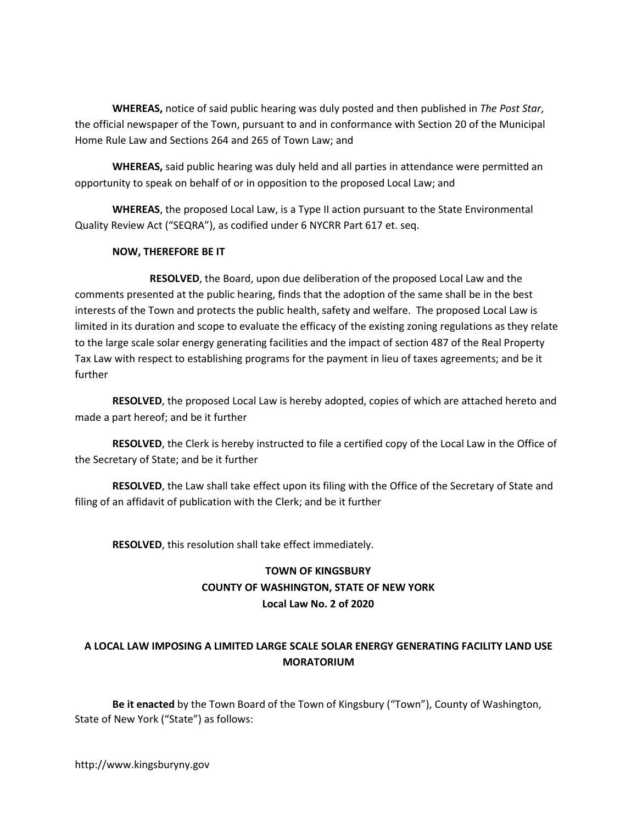WHEREAS, notice of said public hearing was duly posted and then published in The Post Star, the official newspaper of the Town, pursuant to and in conformance with Section 20 of the Municipal Home Rule Law and Sections 264 and 265 of Town Law; and

WHEREAS, said public hearing was duly held and all parties in attendance were permitted an opportunity to speak on behalf of or in opposition to the proposed Local Law; and

 WHEREAS, the proposed Local Law, is a Type II action pursuant to the State Environmental Quality Review Act ("SEQRA"), as codified under 6 NYCRR Part 617 et. seq.

## NOW, THEREFORE BE IT

 RESOLVED, the Board, upon due deliberation of the proposed Local Law and the comments presented at the public hearing, finds that the adoption of the same shall be in the best interests of the Town and protects the public health, safety and welfare. The proposed Local Law is limited in its duration and scope to evaluate the efficacy of the existing zoning regulations as they relate to the large scale solar energy generating facilities and the impact of section 487 of the Real Property Tax Law with respect to establishing programs for the payment in lieu of taxes agreements; and be it further

RESOLVED, the proposed Local Law is hereby adopted, copies of which are attached hereto and made a part hereof; and be it further

RESOLVED, the Clerk is hereby instructed to file a certified copy of the Local Law in the Office of the Secretary of State; and be it further

RESOLVED, the Law shall take effect upon its filing with the Office of the Secretary of State and filing of an affidavit of publication with the Clerk; and be it further

RESOLVED, this resolution shall take effect immediately.

## TOWN OF KINGSBURY COUNTY OF WASHINGTON, STATE OF NEW YORK Local Law No. 2 of 2020

## A LOCAL LAW IMPOSING A LIMITED LARGE SCALE SOLAR ENERGY GENERATING FACILITY LAND USE MORATORIUM

Be it enacted by the Town Board of the Town of Kingsbury ("Town"), County of Washington, State of New York ("State") as follows: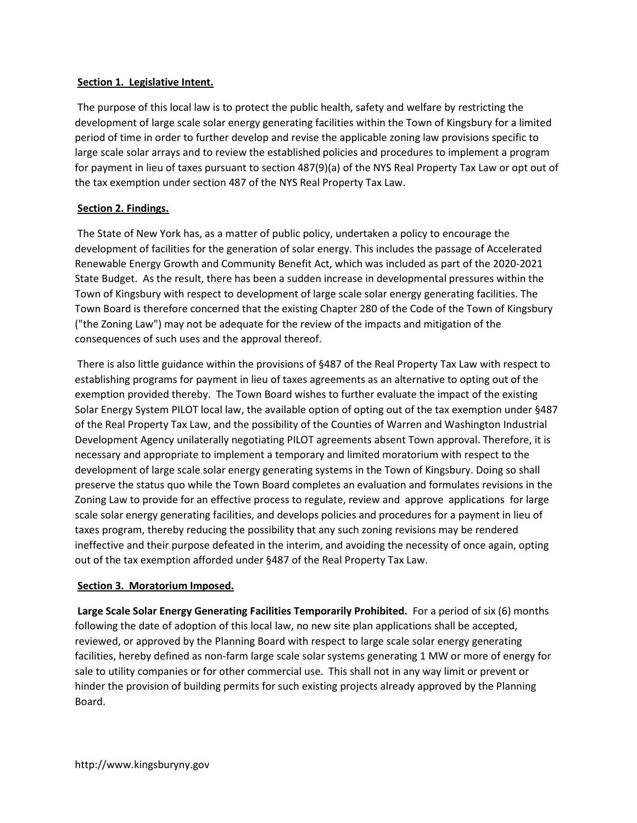## Section 1. Legislative Intent.

 The purpose of this local law is to protect the public health, safety and welfare by restricting the development of large scale solar energy generating facilities within the Town of Kingsbury for a limited period of time in order to further develop and revise the applicable zoning law provisions specific to large scale solar arrays and to review the established policies and procedures to implement a program for payment in lieu of taxes pursuant to section 487(9)(a) of the NYS Real Property Tax Law or opt out of the tax exemption under section 487 of the NYS Real Property Tax Law.

## Section 2. Findings.

 The State of New York has, as a matter of public policy, undertaken a policy to encourage the development of facilities for the generation of solar energy. This includes the passage of Accelerated Renewable Energy Growth and Community Benefit Act, which was included as part of the 2020-2021 State Budget. As the result, there has been a sudden increase in developmental pressures within the Town of Kingsbury with respect to development of large scale solar energy generating facilities. The Town Board is therefore concerned that the existing Chapter 280 of the Code of the Town of Kingsbury ("the Zoning Law") may not be adequate for the review of the impacts and mitigation of the consequences of such uses and the approval thereof.

 There is also little guidance within the provisions of §487 of the Real Property Tax Law with respect to establishing programs for payment in lieu of taxes agreements as an alternative to opting out of the exemption provided thereby. The Town Board wishes to further evaluate the impact of the existing Solar Energy System PILOT local law, the available option of opting out of the tax exemption under §487 of the Real Property Tax Law, and the possibility of the Counties of Warren and Washington Industrial Development Agency unilaterally negotiating PILOT agreements absent Town approval. Therefore, it is necessary and appropriate to implement a temporary and limited moratorium with respect to the development of large scale solar energy generating systems in the Town of Kingsbury. Doing so shall preserve the status quo while the Town Board completes an evaluation and formulates revisions in the Zoning Law to provide for an effective process to regulate, review and approve applications for large scale solar energy generating facilities, and develops policies and procedures for a payment in lieu of taxes program, thereby reducing the possibility that any such zoning revisions may be rendered ineffective and their purpose defeated in the interim, and avoiding the necessity of once again, opting out of the tax exemption afforded under §487 of the Real Property Tax Law.

## Section 3. Moratorium Imposed.

Large Scale Solar Energy Generating Facilities Temporarily Prohibited. For a period of six (6) months following the date of adoption of this local law, no new site plan applications shall be accepted, reviewed, or approved by the Planning Board with respect to large scale solar energy generating facilities, hereby defined as non-farm large scale solar systems generating 1 MW or more of energy for sale to utility companies or for other commercial use. This shall not in any way limit or prevent or hinder the provision of building permits for such existing projects already approved by the Planning Board.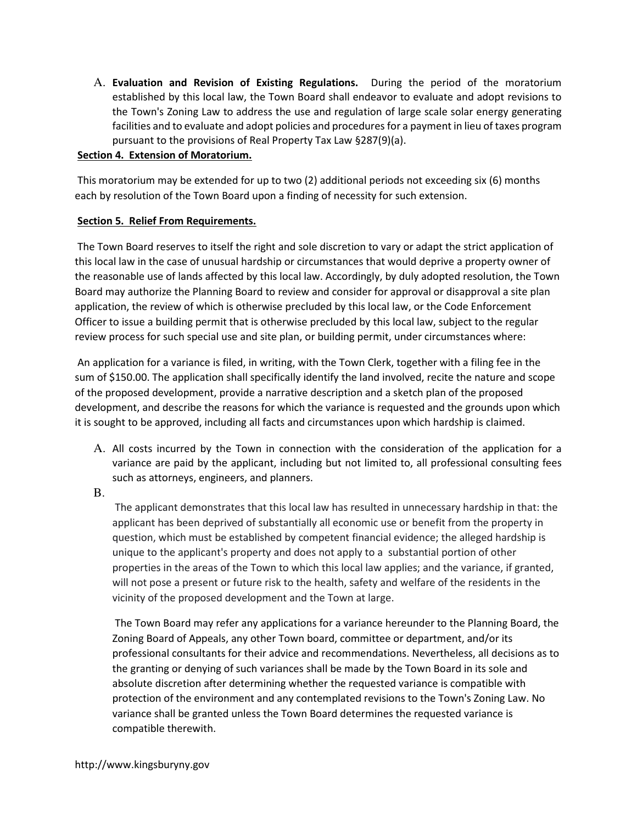A. Evaluation and Revision of Existing Regulations. During the period of the moratorium established by this local law, the Town Board shall endeavor to evaluate and adopt revisions to the Town's Zoning Law to address the use and regulation of large scale solar energy generating facilities and to evaluate and adopt policies and procedures for a payment in lieu of taxes program pursuant to the provisions of Real Property Tax Law §287(9)(a).

## Section 4. Extension of Moratorium.

 This moratorium may be extended for up to two (2) additional periods not exceeding six (6) months each by resolution of the Town Board upon a finding of necessity for such extension.

## Section 5. Relief From Requirements.

 The Town Board reserves to itself the right and sole discretion to vary or adapt the strict application of this local law in the case of unusual hardship or circumstances that would deprive a property owner of the reasonable use of lands affected by this local law. Accordingly, by duly adopted resolution, the Town Board may authorize the Planning Board to review and consider for approval or disapproval a site plan application, the review of which is otherwise precluded by this local law, or the Code Enforcement Officer to issue a building permit that is otherwise precluded by this local law, subject to the regular review process for such special use and site plan, or building permit, under circumstances where:

 An application for a variance is filed, in writing, with the Town Clerk, together with a filing fee in the sum of \$150.00. The application shall specifically identify the land involved, recite the nature and scope of the proposed development, provide a narrative description and a sketch plan of the proposed development, and describe the reasons for which the variance is requested and the grounds upon which it is sought to be approved, including all facts and circumstances upon which hardship is claimed.

- A. All costs incurred by the Town in connection with the consideration of the application for a variance are paid by the applicant, including but not limited to, all professional consulting fees such as attorneys, engineers, and planners.
- B.

The applicant demonstrates that this local law has resulted in unnecessary hardship in that: the applicant has been deprived of substantially all economic use or benefit from the property in question, which must be established by competent financial evidence; the alleged hardship is unique to the applicant's property and does not apply to a substantial portion of other properties in the areas of the Town to which this local law applies; and the variance, if granted, will not pose a present or future risk to the health, safety and welfare of the residents in the vicinity of the proposed development and the Town at large.

 The Town Board may refer any applications for a variance hereunder to the Planning Board, the Zoning Board of Appeals, any other Town board, committee or department, and/or its professional consultants for their advice and recommendations. Nevertheless, all decisions as to the granting or denying of such variances shall be made by the Town Board in its sole and absolute discretion after determining whether the requested variance is compatible with protection of the environment and any contemplated revisions to the Town's Zoning Law. No variance shall be granted unless the Town Board determines the requested variance is compatible therewith.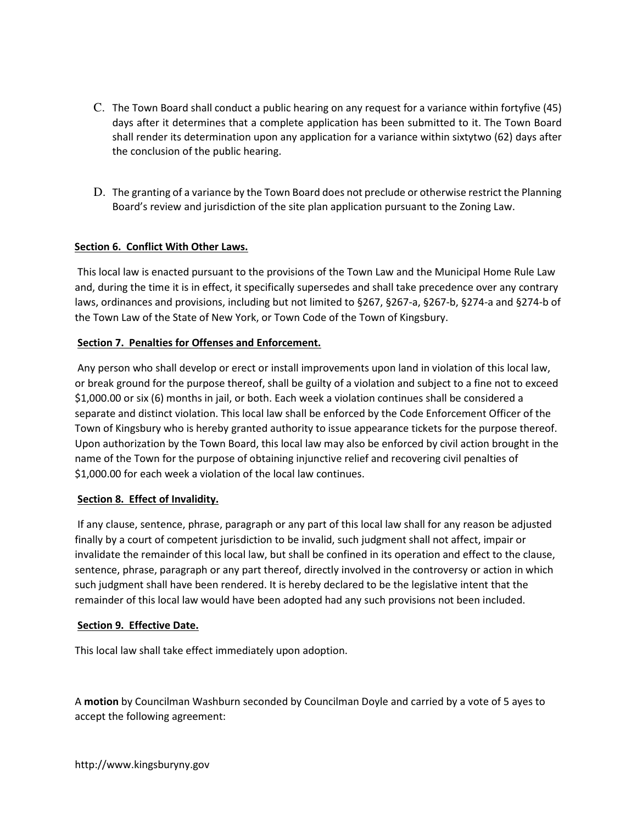- C. The Town Board shall conduct a public hearing on any request for a variance within fortyfive (45) days after it determines that a complete application has been submitted to it. The Town Board shall render its determination upon any application for a variance within sixtytwo (62) days after the conclusion of the public hearing.
- D. The granting of a variance by the Town Board does not preclude or otherwise restrict the Planning Board's review and jurisdiction of the site plan application pursuant to the Zoning Law.

## Section 6. Conflict With Other Laws.

 This local law is enacted pursuant to the provisions of the Town Law and the Municipal Home Rule Law and, during the time it is in effect, it specifically supersedes and shall take precedence over any contrary laws, ordinances and provisions, including but not limited to §267, §267-a, §267-b, §274-a and §274-b of the Town Law of the State of New York, or Town Code of the Town of Kingsbury.

## Section 7. Penalties for Offenses and Enforcement.

 Any person who shall develop or erect or install improvements upon land in violation of this local law, or break ground for the purpose thereof, shall be guilty of a violation and subject to a fine not to exceed \$1,000.00 or six (6) months in jail, or both. Each week a violation continues shall be considered a separate and distinct violation. This local law shall be enforced by the Code Enforcement Officer of the Town of Kingsbury who is hereby granted authority to issue appearance tickets for the purpose thereof. Upon authorization by the Town Board, this local law may also be enforced by civil action brought in the name of the Town for the purpose of obtaining injunctive relief and recovering civil penalties of \$1,000.00 for each week a violation of the local law continues.

## Section 8. Effect of Invalidity.

 If any clause, sentence, phrase, paragraph or any part of this local law shall for any reason be adjusted finally by a court of competent jurisdiction to be invalid, such judgment shall not affect, impair or invalidate the remainder of this local law, but shall be confined in its operation and effect to the clause, sentence, phrase, paragraph or any part thereof, directly involved in the controversy or action in which such judgment shall have been rendered. It is hereby declared to be the legislative intent that the remainder of this local law would have been adopted had any such provisions not been included.

## Section 9. Effective Date.

This local law shall take effect immediately upon adoption.

A motion by Councilman Washburn seconded by Councilman Doyle and carried by a vote of 5 ayes to accept the following agreement: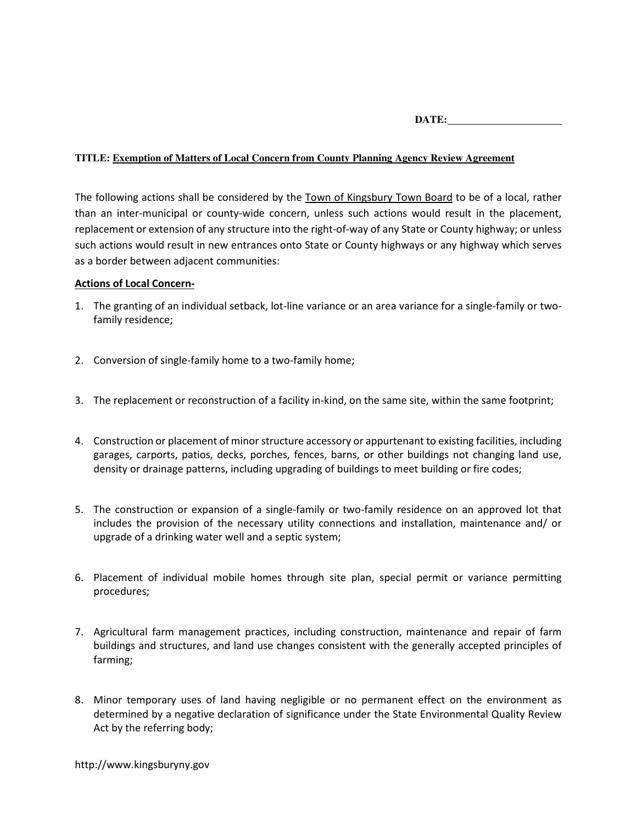**DATE:**

## **TITLE: Exemption of Matters of Local Concern from County Planning Agency Review Agreement**

The following actions shall be considered by the **Town of Kingsbury Town Board** to be of a local, rather than an inter-municipal or county-wide concern, unless such actions would result in the placement, replacement or extension of any structure into the right-of-way of any State or County highway; or unless such actions would result in new entrances onto State or County highways or any highway which serves as a border between adjacent communities:

### Actions of Local Concern-

- 1. The granting of an individual setback, lot-line variance or an area variance for a single-family or twofamily residence;
- 2. Conversion of single-family home to a two-family home;
- 3. The replacement or reconstruction of a facility in-kind, on the same site, within the same footprint;
- 4. Construction or placement of minor structure accessory or appurtenant to existing facilities, including garages, carports, patios, decks, porches, fences, barns, or other buildings not changing land use, density or drainage patterns, including upgrading of buildings to meet building or fire codes;
- 5. The construction or expansion of a single-family or two-family residence on an approved lot that includes the provision of the necessary utility connections and installation, maintenance and/ or upgrade of a drinking water well and a septic system;
- 6. Placement of individual mobile homes through site plan, special permit or variance permitting procedures;
- 7. Agricultural farm management practices, including construction, maintenance and repair of farm buildings and structures, and land use changes consistent with the generally accepted principles of farming;
- 8. Minor temporary uses of land having negligible or no permanent effect on the environment as determined by a negative declaration of significance under the State Environmental Quality Review Act by the referring body;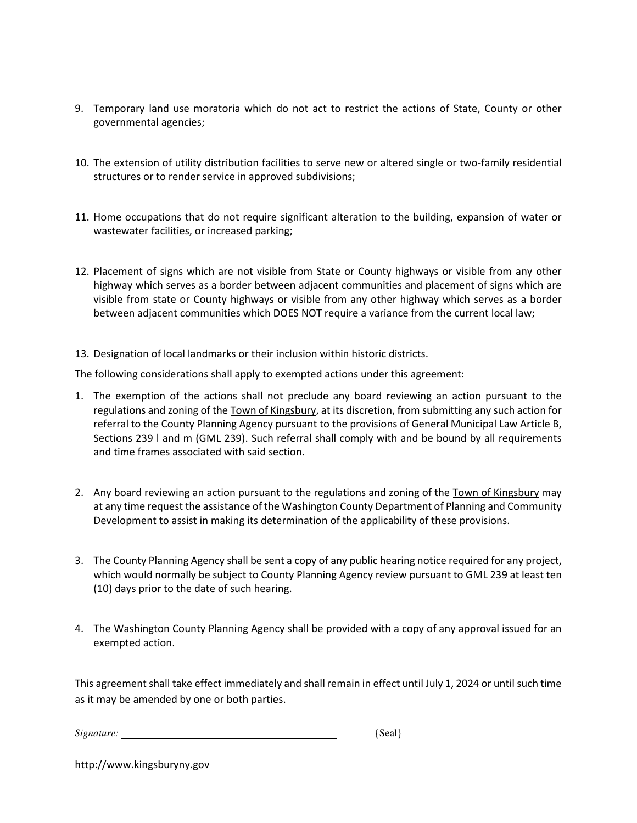- 9. Temporary land use moratoria which do not act to restrict the actions of State, County or other governmental agencies;
- 10. The extension of utility distribution facilities to serve new or altered single or two-family residential structures or to render service in approved subdivisions;
- 11. Home occupations that do not require significant alteration to the building, expansion of water or wastewater facilities, or increased parking;
- 12. Placement of signs which are not visible from State or County highways or visible from any other highway which serves as a border between adjacent communities and placement of signs which are visible from state or County highways or visible from any other highway which serves as a border between adjacent communities which DOES NOT require a variance from the current local law;
- 13. Designation of local landmarks or their inclusion within historic districts.

The following considerations shall apply to exempted actions under this agreement:

- 1. The exemption of the actions shall not preclude any board reviewing an action pursuant to the regulations and zoning of the Town of Kingsbury, at its discretion, from submitting any such action for referral to the County Planning Agency pursuant to the provisions of General Municipal Law Article B, Sections 239 l and m (GML 239). Such referral shall comply with and be bound by all requirements and time frames associated with said section.
- 2. Any board reviewing an action pursuant to the regulations and zoning of the Town of Kingsbury may at any time request the assistance of the Washington County Department of Planning and Community Development to assist in making its determination of the applicability of these provisions.
- 3. The County Planning Agency shall be sent a copy of any public hearing notice required for any project, which would normally be subject to County Planning Agency review pursuant to GML 239 at least ten (10) days prior to the date of such hearing.
- 4. The Washington County Planning Agency shall be provided with a copy of any approval issued for an exempted action.

This agreement shall take effect immediately and shall remain in effect until July 1, 2024 or until such time as it may be amended by one or both parties.

| Signature:<br>'Seal |
|---------------------|
|---------------------|

|  | http://www.kingsburyny.gov |
|--|----------------------------|
|--|----------------------------|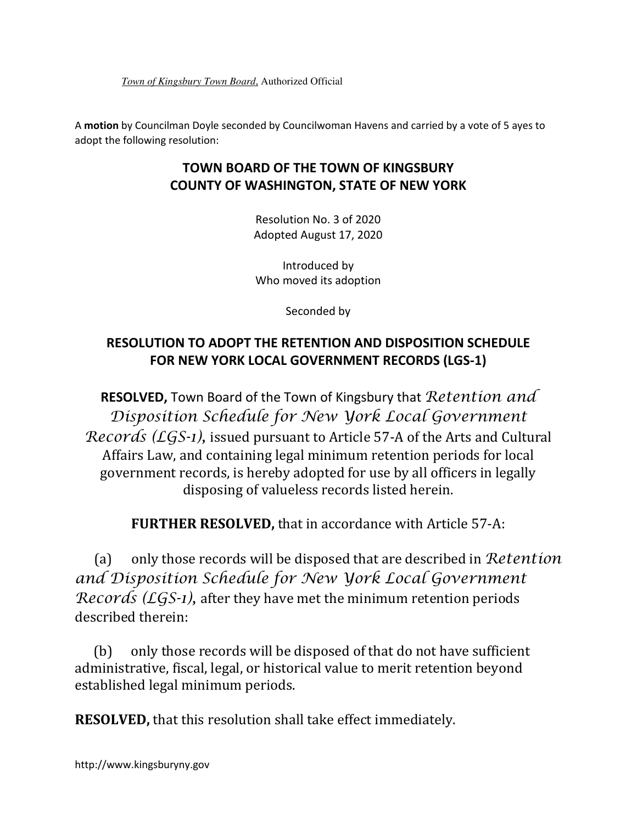*Town of Kingsbury Town Board*, Authorized Official

A motion by Councilman Doyle seconded by Councilwoman Havens and carried by a vote of 5 ayes to adopt the following resolution:

# TOWN BOARD OF THE TOWN OF KINGSBURY COUNTY OF WASHINGTON, STATE OF NEW YORK

Resolution No. 3 of 2020 Adopted August 17, 2020

Introduced by Who moved its adoption

Seconded by

# RESOLUTION TO ADOPT THE RETENTION AND DISPOSITION SCHEDULE FOR NEW YORK LOCAL GOVERNMENT RECORDS (LGS-1)

**RESOLVED, Town Board of the Town of Kingsbury that Retention and** Disposition Schedule for New York Local Government Records (LGS-1), issued pursuant to Article 57-A of the Arts and Cultural Affairs Law, and containing legal minimum retention periods for local government records, is hereby adopted for use by all officers in legally disposing of valueless records listed herein.

FURTHER RESOLVED, that in accordance with Article 57-A:

(a) only those records will be disposed that are described in  $Retention$ and Disposition Schedule for New York Local Government Records ( $LGS-1$ ), after they have met the minimum retention periods described therein:

(b) only those records will be disposed of that do not have sufficient administrative, fiscal, legal, or historical value to merit retention beyond established legal minimum periods.

RESOLVED, that this resolution shall take effect immediately.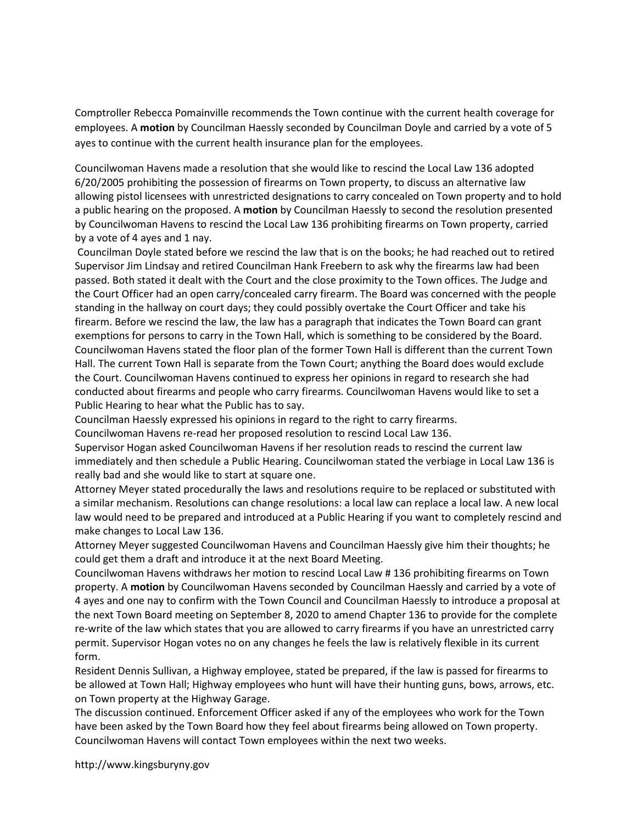Comptroller Rebecca Pomainville recommends the Town continue with the current health coverage for employees. A motion by Councilman Haessly seconded by Councilman Doyle and carried by a vote of 5 ayes to continue with the current health insurance plan for the employees.

Councilwoman Havens made a resolution that she would like to rescind the Local Law 136 adopted 6/20/2005 prohibiting the possession of firearms on Town property, to discuss an alternative law allowing pistol licensees with unrestricted designations to carry concealed on Town property and to hold a public hearing on the proposed. A motion by Councilman Haessly to second the resolution presented by Councilwoman Havens to rescind the Local Law 136 prohibiting firearms on Town property, carried by a vote of 4 ayes and 1 nay.

 Councilman Doyle stated before we rescind the law that is on the books; he had reached out to retired Supervisor Jim Lindsay and retired Councilman Hank Freebern to ask why the firearms law had been passed. Both stated it dealt with the Court and the close proximity to the Town offices. The Judge and the Court Officer had an open carry/concealed carry firearm. The Board was concerned with the people standing in the hallway on court days; they could possibly overtake the Court Officer and take his firearm. Before we rescind the law, the law has a paragraph that indicates the Town Board can grant exemptions for persons to carry in the Town Hall, which is something to be considered by the Board. Councilwoman Havens stated the floor plan of the former Town Hall is different than the current Town Hall. The current Town Hall is separate from the Town Court; anything the Board does would exclude the Court. Councilwoman Havens continued to express her opinions in regard to research she had conducted about firearms and people who carry firearms. Councilwoman Havens would like to set a Public Hearing to hear what the Public has to say.

Councilman Haessly expressed his opinions in regard to the right to carry firearms.

Councilwoman Havens re-read her proposed resolution to rescind Local Law 136.

Supervisor Hogan asked Councilwoman Havens if her resolution reads to rescind the current law immediately and then schedule a Public Hearing. Councilwoman stated the verbiage in Local Law 136 is really bad and she would like to start at square one.

Attorney Meyer stated procedurally the laws and resolutions require to be replaced or substituted with a similar mechanism. Resolutions can change resolutions: a local law can replace a local law. A new local law would need to be prepared and introduced at a Public Hearing if you want to completely rescind and make changes to Local Law 136.

Attorney Meyer suggested Councilwoman Havens and Councilman Haessly give him their thoughts; he could get them a draft and introduce it at the next Board Meeting.

Councilwoman Havens withdraws her motion to rescind Local Law # 136 prohibiting firearms on Town property. A motion by Councilwoman Havens seconded by Councilman Haessly and carried by a vote of 4 ayes and one nay to confirm with the Town Council and Councilman Haessly to introduce a proposal at the next Town Board meeting on September 8, 2020 to amend Chapter 136 to provide for the complete re-write of the law which states that you are allowed to carry firearms if you have an unrestricted carry permit. Supervisor Hogan votes no on any changes he feels the law is relatively flexible in its current form.

Resident Dennis Sullivan, a Highway employee, stated be prepared, if the law is passed for firearms to be allowed at Town Hall; Highway employees who hunt will have their hunting guns, bows, arrows, etc. on Town property at the Highway Garage.

The discussion continued. Enforcement Officer asked if any of the employees who work for the Town have been asked by the Town Board how they feel about firearms being allowed on Town property. Councilwoman Havens will contact Town employees within the next two weeks.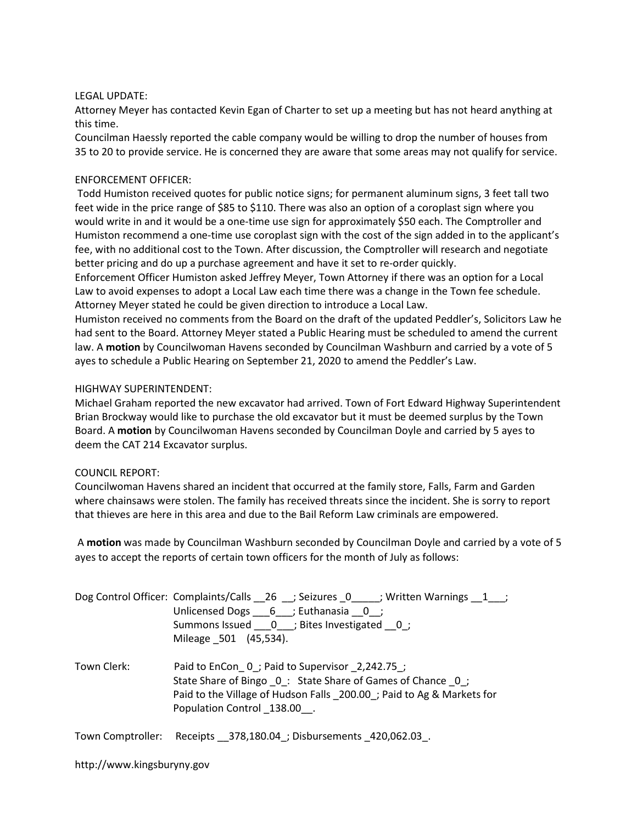### LEGAL UPDATE:

Attorney Meyer has contacted Kevin Egan of Charter to set up a meeting but has not heard anything at this time.

Councilman Haessly reported the cable company would be willing to drop the number of houses from 35 to 20 to provide service. He is concerned they are aware that some areas may not qualify for service.

## ENFORCEMENT OFFICER:

 Todd Humiston received quotes for public notice signs; for permanent aluminum signs, 3 feet tall two feet wide in the price range of \$85 to \$110. There was also an option of a coroplast sign where you would write in and it would be a one-time use sign for approximately \$50 each. The Comptroller and Humiston recommend a one-time use coroplast sign with the cost of the sign added in to the applicant's fee, with no additional cost to the Town. After discussion, the Comptroller will research and negotiate better pricing and do up a purchase agreement and have it set to re-order quickly.

Enforcement Officer Humiston asked Jeffrey Meyer, Town Attorney if there was an option for a Local Law to avoid expenses to adopt a Local Law each time there was a change in the Town fee schedule. Attorney Meyer stated he could be given direction to introduce a Local Law.

Humiston received no comments from the Board on the draft of the updated Peddler's, Solicitors Law he had sent to the Board. Attorney Meyer stated a Public Hearing must be scheduled to amend the current law. A motion by Councilwoman Havens seconded by Councilman Washburn and carried by a vote of 5 ayes to schedule a Public Hearing on September 21, 2020 to amend the Peddler's Law.

### HIGHWAY SUPERINTENDENT:

Michael Graham reported the new excavator had arrived. Town of Fort Edward Highway Superintendent Brian Brockway would like to purchase the old excavator but it must be deemed surplus by the Town Board. A motion by Councilwoman Havens seconded by Councilman Doyle and carried by 5 ayes to deem the CAT 214 Excavator surplus.

#### COUNCIL REPORT:

Councilwoman Havens shared an incident that occurred at the family store, Falls, Farm and Garden where chainsaws were stolen. The family has received threats since the incident. She is sorry to report that thieves are here in this area and due to the Bail Reform Law criminals are empowered.

 A motion was made by Councilman Washburn seconded by Councilman Doyle and carried by a vote of 5 ayes to accept the reports of certain town officers for the month of July as follows:

|             | Dog Control Officer: Complaints/Calls __26 __; Seizures _0 ____; Written Warnings __1 __;<br>Unlicensed Dogs 6 ; Euthanasia 0;<br>Summons Issued ___ 0___; Bites Investigated 0;<br>Mileage 501 (45,534).           |  |
|-------------|---------------------------------------------------------------------------------------------------------------------------------------------------------------------------------------------------------------------|--|
| Town Clerk: | Paid to EnCon 0; Paid to Supervisor 2,242.75;<br>State Share of Bingo 0: State Share of Games of Chance 0;<br>Paid to the Village of Hudson Falls _200.00 _; Paid to Ag & Markets for<br>Population Control 138.00. |  |
|             | Town Comptroller: Receipts 378,180.04 ; Disbursements 420,062.03.                                                                                                                                                   |  |